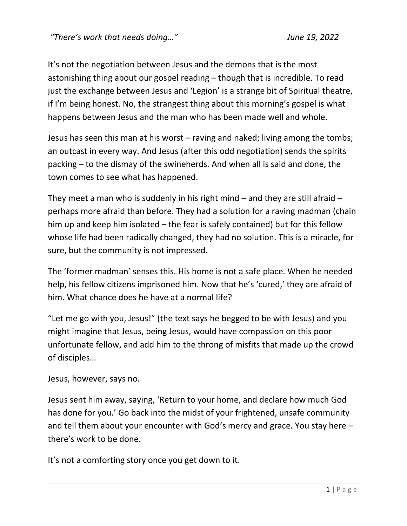It's not the negotiation between Jesus and the demons that is the most astonishing thing about our gospel reading – though that is incredible. To read just the exchange between Jesus and 'Legion' is a strange bit of Spiritual theatre, if I'm being honest. No, the strangest thing about this morning's gospel is what happens between Jesus and the man who has been made well and whole.

Jesus has seen this man at his worst – raving and naked; living among the tombs; an outcast in every way. And Jesus (after this odd negotiation) sends the spirits packing – to the dismay of the swineherds. And when all is said and done, the town comes to see what has happened.

They meet a man who is suddenly in his right mind  $-$  and they are still afraid  $$ perhaps more afraid than before. They had a solution for a raving madman (chain him up and keep him isolated – the fear is safely contained) but for this fellow whose life had been radically changed, they had no solution. This is a miracle, for sure, but the community is not impressed.

The 'former madman' senses this. His home is not a safe place. When he needed help, his fellow citizens imprisoned him. Now that he's 'cured,' they are afraid of him. What chance does he have at a normal life?

"Let me go with you, Jesus!" (the text says he begged to be with Jesus) and you might imagine that Jesus, being Jesus, would have compassion on this poor unfortunate fellow, and add him to the throng of misfits that made up the crowd of disciples…

Jesus, however, says no.

Jesus sent him away, saying, 'Return to your home, and declare how much God has done for you.' Go back into the midst of your frightened, unsafe community and tell them about your encounter with God's mercy and grace. You stay here – there's work to be done.

It's not a comforting story once you get down to it.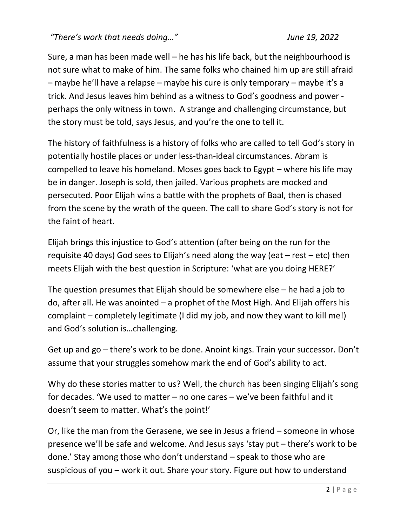*"There's work that needs doing…" June 19, 2022*

Sure, a man has been made well – he has his life back, but the neighbourhood is not sure what to make of him. The same folks who chained him up are still afraid – maybe he'll have a relapse – maybe his cure is only temporary – maybe it's a trick. And Jesus leaves him behind as a witness to God's goodness and power perhaps the only witness in town. A strange and challenging circumstance, but the story must be told, says Jesus, and you're the one to tell it.

The history of faithfulness is a history of folks who are called to tell God's story in potentially hostile places or under less-than-ideal circumstances. Abram is compelled to leave his homeland. Moses goes back to Egypt – where his life may be in danger. Joseph is sold, then jailed. Various prophets are mocked and persecuted. Poor Elijah wins a battle with the prophets of Baal, then is chased from the scene by the wrath of the queen. The call to share God's story is not for the faint of heart.

Elijah brings this injustice to God's attention (after being on the run for the requisite 40 days) God sees to Elijah's need along the way (eat  $-$  rest  $-$  etc) then meets Elijah with the best question in Scripture: 'what are you doing HERE?'

The question presumes that Elijah should be somewhere else – he had a job to do, after all. He was anointed – a prophet of the Most High. And Elijah offers his complaint – completely legitimate (I did my job, and now they want to kill me!) and God's solution is…challenging.

Get up and go – there's work to be done. Anoint kings. Train your successor. Don't assume that your struggles somehow mark the end of God's ability to act.

Why do these stories matter to us? Well, the church has been singing Elijah's song for decades. 'We used to matter – no one cares – we've been faithful and it doesn't seem to matter. What's the point!'

Or, like the man from the Gerasene, we see in Jesus a friend – someone in whose presence we'll be safe and welcome. And Jesus says 'stay put – there's work to be done.' Stay among those who don't understand – speak to those who are suspicious of you – work it out. Share your story. Figure out how to understand